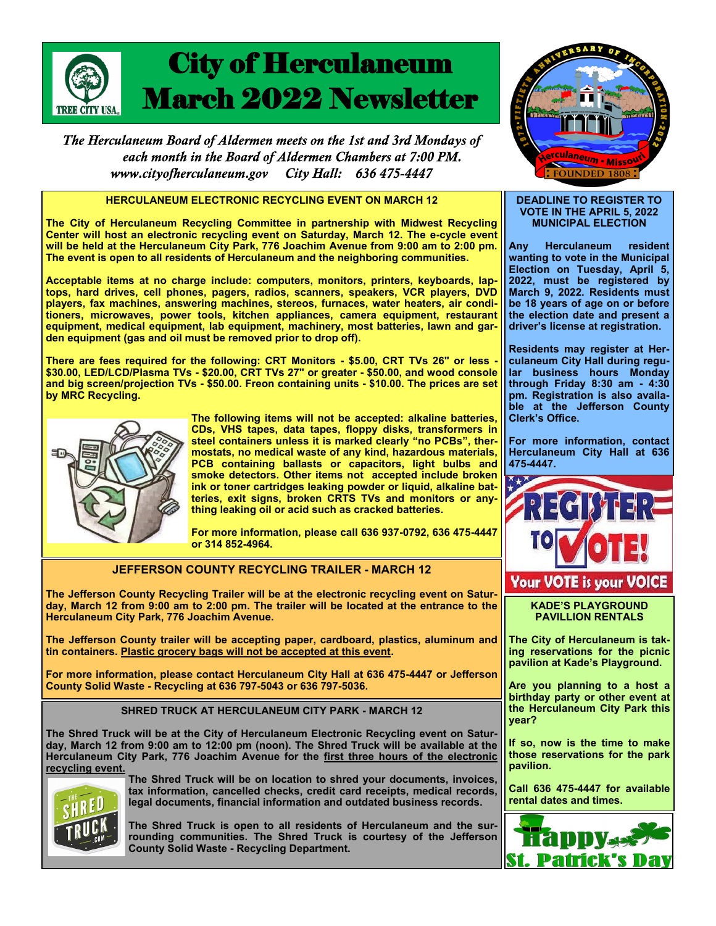

The Herculaneum Board of Aldermen meets on the 1st and 3rd Mondays of each month in the Board of Aldermen Chambers at 7:00 PM. www.cityofherculaneum.gov City Hall: 636 475-4447

### **HERCULANEUM ELECTRONIC RECYCLING EVENT ON MARCH 12**

**The City of Herculaneum Recycling Committee in partnership with Midwest Recycling Center will host an electronic recycling event on Saturday, March 12. The e-cycle event will be held at the Herculaneum City Park, 776 Joachim Avenue from 9:00 am to 2:00 pm. The event is open to all residents of Herculaneum and the neighboring communities.**

**Acceptable items at no charge include: computers, monitors, printers, keyboards, laptops, hard drives, cell phones, pagers, radios, scanners, speakers, VCR players, DVD players, fax machines, answering machines, stereos, furnaces, water heaters, air conditioners, microwaves, power tools, kitchen appliances, camera equipment, restaurant equipment, medical equipment, lab equipment, machinery, most batteries, lawn and garden equipment (gas and oil must be removed prior to drop off).** 

**There are fees required for the following: CRT Monitors - \$5.00, CRT TVs 26" or less - \$30.00, LED/LCD/Plasma TVs - \$20.00, CRT TVs 27" or greater - \$50.00, and wood console and big screen/projection TVs - \$50.00. Freon containing units - \$10.00. The prices are set by MRC Recycling.**



**The following items will not be accepted: alkaline batteries, CDs, VHS tapes, data tapes, floppy disks, transformers in steel containers unless it is marked clearly "no PCBs", thermostats, no medical waste of any kind, hazardous materials, PCB containing ballasts or capacitors, light bulbs and smoke detectors. Other items not accepted include broken ink or toner cartridges leaking powder or liquid, alkaline batteries, exit signs, broken CRTS TVs and monitors or anything leaking oil or acid such as cracked batteries.**

**For more information, please call 636 937-0792, 636 475-4447 or 314 852-4964.**

# **JEFFERSON COUNTY RECYCLING TRAILER - MARCH 12**

**The Jefferson County Recycling Trailer will be at the electronic recycling event on Saturday, March 12 from 9:00 am to 2:00 pm. The trailer will be located at the entrance to the Herculaneum City Park, 776 Joachim Avenue.**

**The Jefferson County trailer will be accepting paper, cardboard, plastics, aluminum and tin containers. Plastic grocery bags will not be accepted at this event.**

**For more information, please contact Herculaneum City Hall at 636 475-4447 or Jefferson County Solid Waste - Recycling at 636 797-5043 or 636 797-5036.** 

#### **SHRED TRUCK AT HERCULANEUM CITY PARK - MARCH 12**

**The Shred Truck will be at the City of Herculaneum Electronic Recycling event on Saturday, March 12 from 9:00 am to 12:00 pm (noon). The Shred Truck will be available at the Herculaneum City Park, 776 Joachim Avenue for the first three hours of the electronic recycling event.**



**The Shred Truck will be on location to shred your documents, invoices, tax information, cancelled checks, credit card receipts, medical records, legal documents, financial information and outdated business records.** 

**The Shred Truck is open to all residents of Herculaneum and the surrounding communities. The Shred Truck is courtesy of the Jefferson County Solid Waste - Recycling Department.**



#### **DEADLINE TO REGISTER TO VOTE IN THE APRIL 5, 2022 MUNICIPAL ELECTION**

**Any Herculaneum resident wanting to vote in the Municipal Election on Tuesday, April 5, 2022, must be registered by March 9, 2022. Residents must be 18 years of age on or before the election date and present a driver's license at registration.**

**Residents may register at Herculaneum City Hall during regular business hours Monday through Friday 8:30 am - 4:30 pm. Registration is also available at the Jefferson County Clerk's Office.** 

**For more information, contact Herculaneum City Hall at 636 475-4447.**



**KADE'S PLAYGROUND PAVILLION RENTALS**

**The City of Herculaneum is taking reservations for the picnic pavilion at Kade's Playground.**

**Are you planning to a host a birthday party or other event at the Herculaneum City Park this year?**

**If so, now is the time to make those reservations for the park pavilion.**

**Call 636 475-4447 for available rental dates and times.**